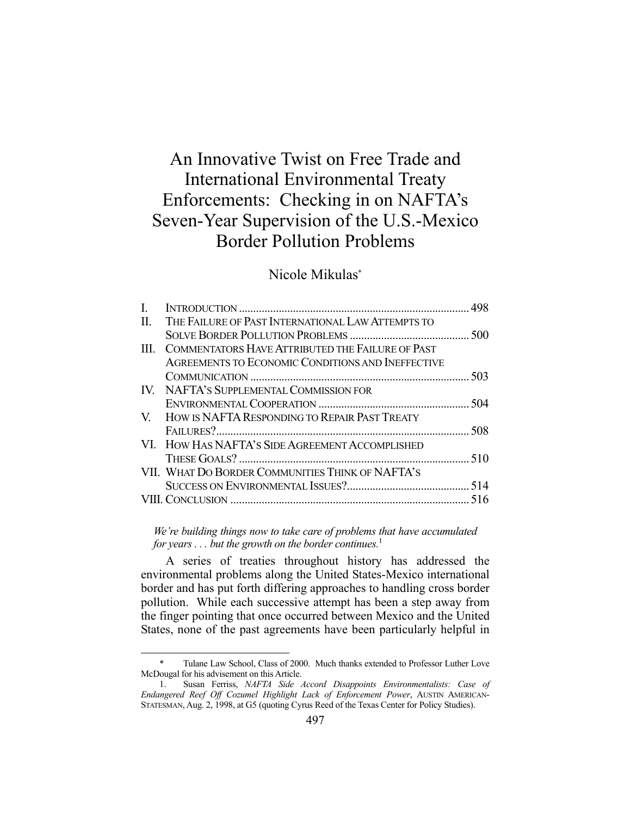# An Innovative Twist on Free Trade and International Environmental Treaty Enforcements: Checking in on NAFTA's Seven-Year Supervision of the U.S.-Mexico Border Pollution Problems

## Nicole Mikulas\*

| II. | THE FAILURE OF PAST INTERNATIONAL LAW ATTEMPTS TO |  |
|-----|---------------------------------------------------|--|
|     |                                                   |  |
| HL. | COMMENTATORS HAVE ATTRIBUTED THE FAILURE OF PAST  |  |
|     | AGREEMENTS TO ECONOMIC CONDITIONS AND INEFFECTIVE |  |
|     |                                                   |  |
|     | IV. NAFTA'S SUPPLEMENTAL COMMISSION FOR           |  |
|     |                                                   |  |
|     | V. HOW IS NAFTA RESPONDING TO REPAIR PAST TREATY  |  |
|     |                                                   |  |
|     | VI. HOW HAS NAFTA'S SIDE AGREEMENT ACCOMPLISHED   |  |
|     |                                                   |  |
|     | VII. WHAT DO BORDER COMMUNITIES THINK OF NAFTA'S  |  |
|     |                                                   |  |
|     |                                                   |  |
|     |                                                   |  |

*We're building things now to take care of problems that have accumulated for years . . . but the growth on the border continues.*<sup>1</sup>

 A series of treaties throughout history has addressed the environmental problems along the United States-Mexico international border and has put forth differing approaches to handling cross border pollution. While each successive attempt has been a step away from the finger pointing that once occurred between Mexico and the United States, none of the past agreements have been particularly helpful in

 <sup>\*</sup> Tulane Law School, Class of 2000. Much thanks extended to Professor Luther Love McDougal for his advisement on this Article.

 <sup>1.</sup> Susan Ferriss, *NAFTA Side Accord Disappoints Environmentalists: Case of Endangered Reef Off Cozumel Highlight Lack of Enforcement Power*, AUSTIN AMERICAN-STATESMAN, Aug. 2, 1998, at G5 (quoting Cyrus Reed of the Texas Center for Policy Studies).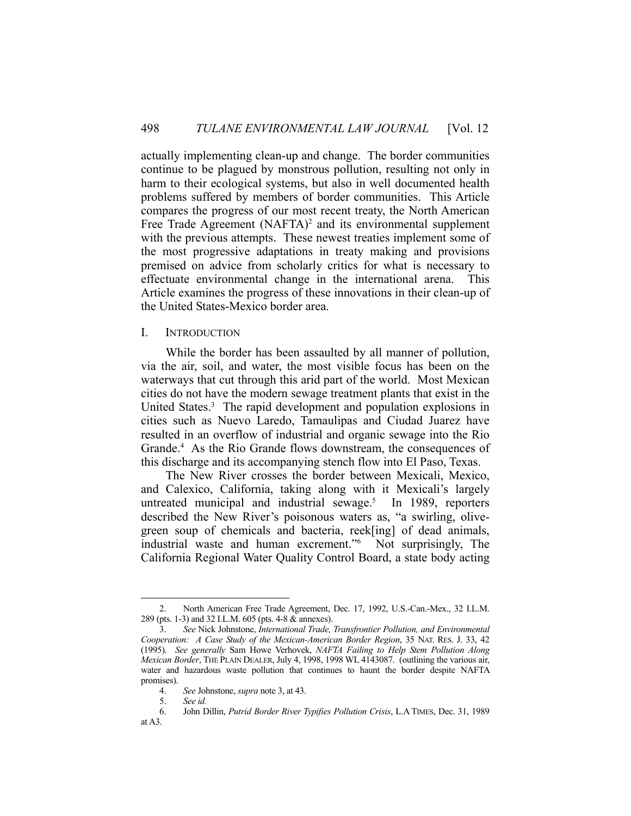actually implementing clean-up and change. The border communities continue to be plagued by monstrous pollution, resulting not only in harm to their ecological systems, but also in well documented health problems suffered by members of border communities. This Article compares the progress of our most recent treaty, the North American Free Trade Agreement (NAFTA)<sup>2</sup> and its environmental supplement with the previous attempts. These newest treaties implement some of the most progressive adaptations in treaty making and provisions premised on advice from scholarly critics for what is necessary to effectuate environmental change in the international arena. This Article examines the progress of these innovations in their clean-up of the United States-Mexico border area.

#### I. INTRODUCTION

 While the border has been assaulted by all manner of pollution, via the air, soil, and water, the most visible focus has been on the waterways that cut through this arid part of the world. Most Mexican cities do not have the modern sewage treatment plants that exist in the United States.<sup>3</sup> The rapid development and population explosions in cities such as Nuevo Laredo, Tamaulipas and Ciudad Juarez have resulted in an overflow of industrial and organic sewage into the Rio Grande.4 As the Rio Grande flows downstream, the consequences of this discharge and its accompanying stench flow into El Paso, Texas.

 The New River crosses the border between Mexicali, Mexico, and Calexico, California, taking along with it Mexicali's largely untreated municipal and industrial sewage. $5$  In 1989, reporters described the New River's poisonous waters as, "a swirling, olivegreen soup of chemicals and bacteria, reek[ing] of dead animals, industrial waste and human excrement."6 Not surprisingly, The California Regional Water Quality Control Board, a state body acting

 <sup>2.</sup> North American Free Trade Agreement, Dec. 17, 1992, U.S.-Can.-Mex., 32 I.L.M. 289 (pts. 1-3) and 32 I.L.M. 605 (pts. 4-8 & annexes).

 <sup>3.</sup> *See* Nick Johnstone, *International Trade, Transfrontier Pollution, and Environmental Cooperation: A Case Study of the Mexican-American Border Region*, 35 NAT. RES. J. 33, 42 (1995). *See generally* Sam Howe Verhovek, *NAFTA Failing to Help Stem Pollution Along Mexican Border*, THE PLAIN DEALER, July 4, 1998, 1998 WL 4143087. (outlining the various air, water and hazardous waste pollution that continues to haunt the border despite NAFTA promises).

 <sup>4.</sup> *See* Johnstone, *supra* note 3, at 43.

 <sup>5.</sup> *See id.*

 <sup>6.</sup> John Dillin, *Putrid Border River Typifies Pollution Crisis*, L.A TIMES, Dec. 31, 1989 at A3.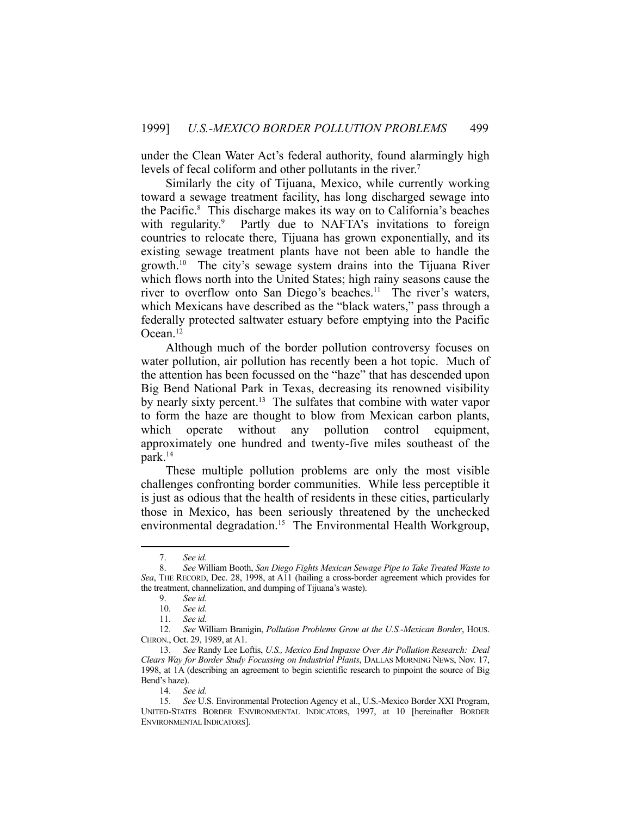under the Clean Water Act's federal authority, found alarmingly high levels of fecal coliform and other pollutants in the river.<sup>7</sup>

 Similarly the city of Tijuana, Mexico, while currently working toward a sewage treatment facility, has long discharged sewage into the Pacific.8 This discharge makes its way on to California's beaches with regularity.<sup>9</sup> Partly due to NAFTA's invitations to foreign countries to relocate there, Tijuana has grown exponentially, and its existing sewage treatment plants have not been able to handle the growth.10 The city's sewage system drains into the Tijuana River which flows north into the United States; high rainy seasons cause the river to overflow onto San Diego's beaches.<sup>11</sup> The river's waters, which Mexicans have described as the "black waters," pass through a federally protected saltwater estuary before emptying into the Pacific Ocean.12

 Although much of the border pollution controversy focuses on water pollution, air pollution has recently been a hot topic. Much of the attention has been focussed on the "haze" that has descended upon Big Bend National Park in Texas, decreasing its renowned visibility by nearly sixty percent.<sup>13</sup> The sulfates that combine with water vapor to form the haze are thought to blow from Mexican carbon plants, which operate without any pollution control equipment, approximately one hundred and twenty-five miles southeast of the park.14

 These multiple pollution problems are only the most visible challenges confronting border communities. While less perceptible it is just as odious that the health of residents in these cities, particularly those in Mexico, has been seriously threatened by the unchecked environmental degradation.<sup>15</sup> The Environmental Health Workgroup,

 <sup>7.</sup> *See id.*

 <sup>8.</sup> *See* William Booth, *San Diego Fights Mexican Sewage Pipe to Take Treated Waste to Sea*, THE RECORD, Dec. 28, 1998, at A11 (hailing a cross-border agreement which provides for the treatment, channelization, and dumping of Tijuana's waste).

 <sup>9.</sup> *See id.*

 <sup>10.</sup> *See id.*

 <sup>11.</sup> *See id.*

 <sup>12.</sup> *See* William Branigin, *Pollution Problems Grow at the U.S.-Mexican Border*, HOUS. CHRON., Oct. 29, 1989, at A1.

 <sup>13.</sup> *See* Randy Lee Loftis, *U.S., Mexico End Impasse Over Air Pollution Research: Deal Clears Way for Border Study Focussing on Industrial Plants*, DALLAS MORNING NEWS, Nov. 17, 1998, at 1A (describing an agreement to begin scientific research to pinpoint the source of Big Bend's haze).

 <sup>14.</sup> *See id.*

 <sup>15.</sup> *See* U.S. Environmental Protection Agency et al., U.S.-Mexico Border XXI Program, UNITED-STATES BORDER ENVIRONMENTAL INDICATORS, 1997, at 10 [hereinafter BORDER ENVIRONMENTAL INDICATORS].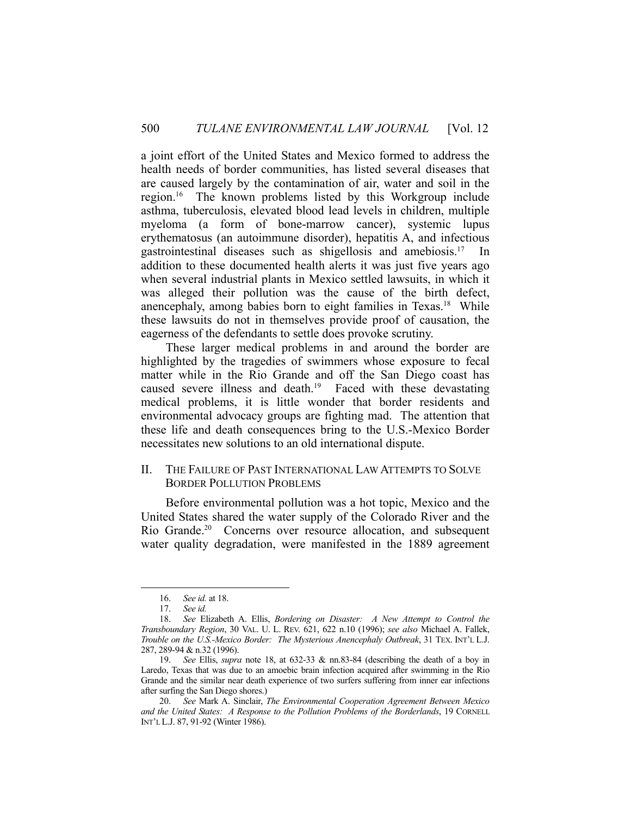a joint effort of the United States and Mexico formed to address the health needs of border communities, has listed several diseases that are caused largely by the contamination of air, water and soil in the region.16 The known problems listed by this Workgroup include asthma, tuberculosis, elevated blood lead levels in children, multiple myeloma (a form of bone-marrow cancer), systemic lupus erythematosus (an autoimmune disorder), hepatitis A, and infectious gastrointestinal diseases such as shigellosis and amebiosis.17 In addition to these documented health alerts it was just five years ago when several industrial plants in Mexico settled lawsuits, in which it was alleged their pollution was the cause of the birth defect, anencephaly, among babies born to eight families in Texas.18 While these lawsuits do not in themselves provide proof of causation, the eagerness of the defendants to settle does provoke scrutiny.

 These larger medical problems in and around the border are highlighted by the tragedies of swimmers whose exposure to fecal matter while in the Rio Grande and off the San Diego coast has caused severe illness and death.<sup>19</sup> Faced with these devastating medical problems, it is little wonder that border residents and environmental advocacy groups are fighting mad. The attention that these life and death consequences bring to the U.S.-Mexico Border necessitates new solutions to an old international dispute.

#### II. THE FAILURE OF PAST INTERNATIONAL LAW ATTEMPTS TO SOLVE BORDER POLLUTION PROBLEMS

 Before environmental pollution was a hot topic, Mexico and the United States shared the water supply of the Colorado River and the Rio Grande.<sup>20</sup> Concerns over resource allocation, and subsequent water quality degradation, were manifested in the 1889 agreement

 <sup>16.</sup> *See id.* at 18.

 <sup>17.</sup> *See id.*

 <sup>18.</sup> *See* Elizabeth A. Ellis, *Bordering on Disaster: A New Attempt to Control the Transboundary Region*, 30 VAL. U. L. REV. 621, 622 n.10 (1996); *see also* Michael A. Fallek, *Trouble on the U.S.-Mexico Border: The Mysterious Anencephaly Outbreak*, 31 TEX. INT'L L.J. 287, 289-94 & n.32 (1996).

 <sup>19.</sup> *See* Ellis, *supra* note 18, at 632-33 & nn.83-84 (describing the death of a boy in Laredo, Texas that was due to an amoebic brain infection acquired after swimming in the Rio Grande and the similar near death experience of two surfers suffering from inner ear infections after surfing the San Diego shores.)

 <sup>20.</sup> *See* Mark A. Sinclair, *The Environmental Cooperation Agreement Between Mexico and the United States: A Response to the Pollution Problems of the Borderlands*, 19 CORNELL INT'L L.J. 87, 91-92 (Winter 1986).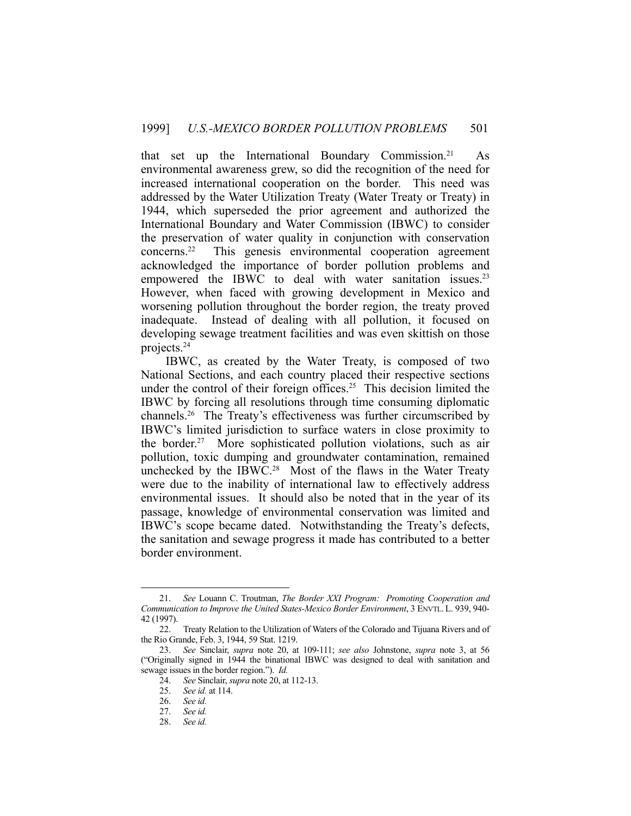that set up the International Boundary Commission.<sup>21</sup> As environmental awareness grew, so did the recognition of the need for increased international cooperation on the border. This need was addressed by the Water Utilization Treaty (Water Treaty or Treaty) in 1944, which superseded the prior agreement and authorized the International Boundary and Water Commission (IBWC) to consider the preservation of water quality in conjunction with conservation concerns.<sup>22</sup> This genesis environmental cooperation agreement This genesis environmental cooperation agreement acknowledged the importance of border pollution problems and empowered the IBWC to deal with water sanitation issues.<sup>23</sup> However, when faced with growing development in Mexico and worsening pollution throughout the border region, the treaty proved inadequate. Instead of dealing with all pollution, it focused on developing sewage treatment facilities and was even skittish on those projects.24

 IBWC, as created by the Water Treaty, is composed of two National Sections, and each country placed their respective sections under the control of their foreign offices.<sup>25</sup> This decision limited the IBWC by forcing all resolutions through time consuming diplomatic channels.26 The Treaty's effectiveness was further circumscribed by IBWC's limited jurisdiction to surface waters in close proximity to the border.27 More sophisticated pollution violations, such as air pollution, toxic dumping and groundwater contamination, remained unchecked by the IBWC.<sup>28</sup> Most of the flaws in the Water Treaty were due to the inability of international law to effectively address environmental issues. It should also be noted that in the year of its passage, knowledge of environmental conservation was limited and IBWC's scope became dated. Notwithstanding the Treaty's defects, the sanitation and sewage progress it made has contributed to a better border environment.

 <sup>21.</sup> *See* Louann C. Troutman, *The Border XXI Program: Promoting Cooperation and Communication to Improve the United States-Mexico Border Environment*, 3 ENVTL. L. 939, 940- 42 (1997).

 <sup>22.</sup> Treaty Relation to the Utilization of Waters of the Colorado and Tijuana Rivers and of the Rio Grande, Feb. 3, 1944, 59 Stat. 1219.

 <sup>23.</sup> *See* Sinclair, *supra* note 20, at 109-111; *see also* Johnstone, *supra* note 3, at 56 ("Originally signed in 1944 the binational IBWC was designed to deal with sanitation and sewage issues in the border region."). *Id.*

 <sup>24.</sup> *See* Sinclair, *supra* note 20, at 112-13.

 <sup>25.</sup> *See id.* at 114.

 <sup>26.</sup> *See id.*

 <sup>27.</sup> *See id.*

 <sup>28.</sup> *See id.*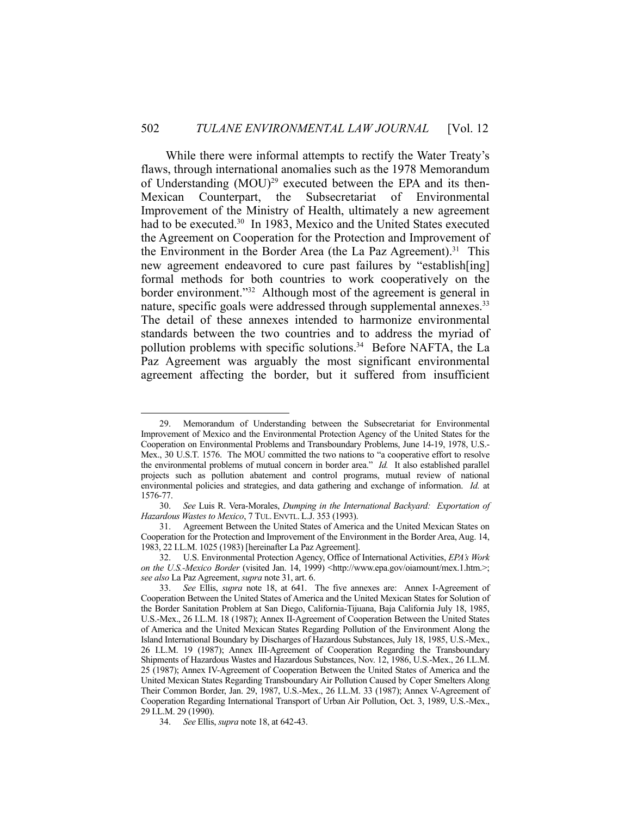While there were informal attempts to rectify the Water Treaty's flaws, through international anomalies such as the 1978 Memorandum of Understanding  $(MOU)^{29}$  executed between the EPA and its then-Mexican Counterpart, the Subsecretariat of Environmental Improvement of the Ministry of Health, ultimately a new agreement had to be executed.<sup>30</sup> In 1983, Mexico and the United States executed the Agreement on Cooperation for the Protection and Improvement of the Environment in the Border Area (the La Paz Agreement).<sup>31</sup> This new agreement endeavored to cure past failures by "establish[ing] formal methods for both countries to work cooperatively on the border environment."32 Although most of the agreement is general in nature, specific goals were addressed through supplemental annexes.<sup>33</sup> The detail of these annexes intended to harmonize environmental standards between the two countries and to address the myriad of pollution problems with specific solutions.<sup>34</sup> Before NAFTA, the La Paz Agreement was arguably the most significant environmental agreement affecting the border, but it suffered from insufficient

Memorandum of Understanding between the Subsecretariat for Environmental Improvement of Mexico and the Environmental Protection Agency of the United States for the Cooperation on Environmental Problems and Transboundary Problems, June 14-19, 1978, U.S.- Mex., 30 U.S.T. 1576. The MOU committed the two nations to "a cooperative effort to resolve the environmental problems of mutual concern in border area." *Id.* It also established parallel projects such as pollution abatement and control programs, mutual review of national environmental policies and strategies, and data gathering and exchange of information. *Id.* at 1576-77.

 <sup>30.</sup> *See* Luis R. Vera-Morales, *Dumping in the International Backyard: Exportation of Hazardous Wastes to Mexico*, 7 TUL. ENVTL. L.J. 353 (1993).

 <sup>31.</sup> Agreement Between the United States of America and the United Mexican States on Cooperation for the Protection and Improvement of the Environment in the Border Area, Aug. 14, 1983, 22 I.L.M. 1025 (1983) [hereinafter La Paz Agreement].

 <sup>32.</sup> U.S. Environmental Protection Agency, Office of International Activities, *EPA's Work on the U.S.-Mexico Border* (visited Jan. 14, 1999) <http://www.epa.gov/oiamount/mex.1.htm.>; *see also* La Paz Agreement, *supra* note 31, art. 6.

 <sup>33.</sup> *See* Ellis, *supra* note 18, at 641. The five annexes are: Annex I-Agreement of Cooperation Between the United States of America and the United Mexican States for Solution of the Border Sanitation Problem at San Diego, California-Tijuana, Baja California July 18, 1985, U.S.-Mex., 26 I.L.M. 18 (1987); Annex II-Agreement of Cooperation Between the United States of America and the United Mexican States Regarding Pollution of the Environment Along the Island International Boundary by Discharges of Hazardous Substances, July 18, 1985, U.S.-Mex., 26 I.L.M. 19 (1987); Annex III-Agreement of Cooperation Regarding the Transboundary Shipments of Hazardous Wastes and Hazardous Substances, Nov. 12, 1986, U.S.-Mex., 26 I.L.M. 25 (1987); Annex IV-Agreement of Cooperation Between the United States of America and the United Mexican States Regarding Transboundary Air Pollution Caused by Coper Smelters Along Their Common Border, Jan. 29, 1987, U.S.-Mex., 26 I.L.M. 33 (1987); Annex V-Agreement of Cooperation Regarding International Transport of Urban Air Pollution, Oct. 3, 1989, U.S.-Mex., 29 I.L.M. 29 (1990).

 <sup>34.</sup> *See* Ellis, *supra* note 18, at 642-43.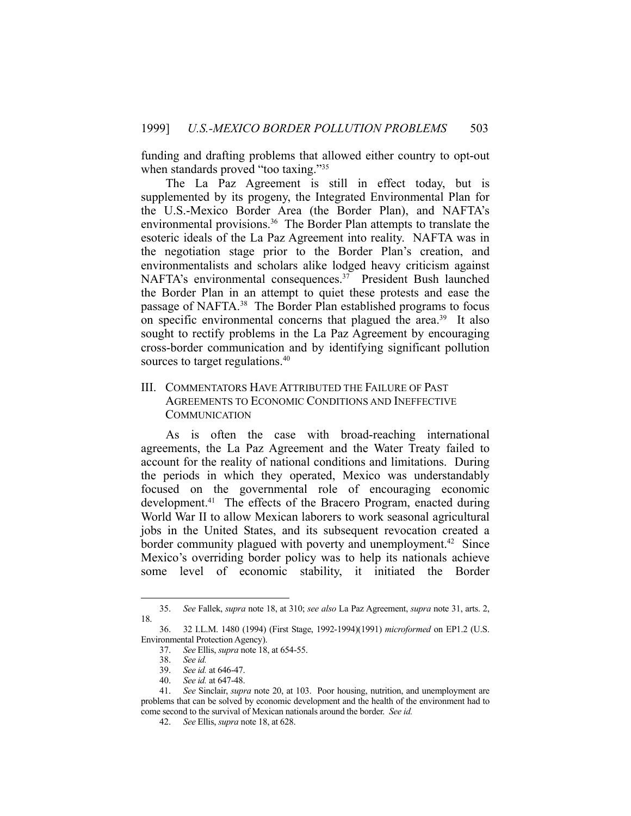funding and drafting problems that allowed either country to opt-out when standards proved "too taxing."<sup>35</sup>

 The La Paz Agreement is still in effect today, but is supplemented by its progeny, the Integrated Environmental Plan for the U.S.-Mexico Border Area (the Border Plan), and NAFTA's environmental provisions.<sup>36</sup> The Border Plan attempts to translate the esoteric ideals of the La Paz Agreement into reality. NAFTA was in the negotiation stage prior to the Border Plan's creation, and environmentalists and scholars alike lodged heavy criticism against NAFTA's environmental consequences.37 President Bush launched the Border Plan in an attempt to quiet these protests and ease the passage of NAFTA.38 The Border Plan established programs to focus on specific environmental concerns that plagued the area.<sup>39</sup> It also sought to rectify problems in the La Paz Agreement by encouraging cross-border communication and by identifying significant pollution sources to target regulations.<sup>40</sup>

## III. COMMENTATORS HAVE ATTRIBUTED THE FAILURE OF PAST AGREEMENTS TO ECONOMIC CONDITIONS AND INEFFECTIVE **COMMUNICATION**

 As is often the case with broad-reaching international agreements, the La Paz Agreement and the Water Treaty failed to account for the reality of national conditions and limitations. During the periods in which they operated, Mexico was understandably focused on the governmental role of encouraging economic development.<sup>41</sup> The effects of the Bracero Program, enacted during World War II to allow Mexican laborers to work seasonal agricultural jobs in the United States, and its subsequent revocation created a border community plagued with poverty and unemployment.<sup>42</sup> Since Mexico's overriding border policy was to help its nationals achieve some level of economic stability, it initiated the Border

 <sup>35.</sup> *See* Fallek, *supra* note 18, at 310; *see also* La Paz Agreement, *supra* note 31, arts. 2, 18.

 <sup>36. 32</sup> I.L.M. 1480 (1994) (First Stage, 1992-1994)(1991) *microformed* on EP1.2 (U.S. Environmental Protection Agency).

 <sup>37.</sup> *See* Ellis, *supra* note 18, at 654-55.

 <sup>38.</sup> *See id.*

 <sup>39.</sup> *See id.* at 646-47.

 <sup>40.</sup> *See id.* at 647-48.

 <sup>41.</sup> *See* Sinclair, *supra* note 20, at 103. Poor housing, nutrition, and unemployment are problems that can be solved by economic development and the health of the environment had to come second to the survival of Mexican nationals around the border. *See id.*

 <sup>42.</sup> *See* Ellis, *supra* note 18, at 628.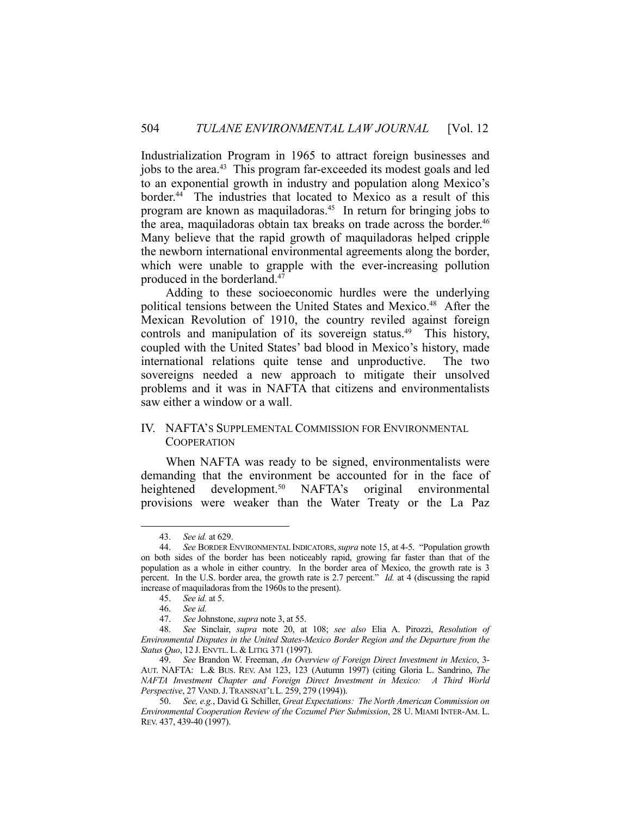Industrialization Program in 1965 to attract foreign businesses and jobs to the area.<sup>43</sup> This program far-exceeded its modest goals and led to an exponential growth in industry and population along Mexico's border.<sup>44</sup> The industries that located to Mexico as a result of this program are known as maquiladoras.45 In return for bringing jobs to the area, maquiladoras obtain tax breaks on trade across the border.<sup>46</sup> Many believe that the rapid growth of maquiladoras helped cripple the newborn international environmental agreements along the border, which were unable to grapple with the ever-increasing pollution produced in the borderland.47

 Adding to these socioeconomic hurdles were the underlying political tensions between the United States and Mexico.<sup>48</sup> After the Mexican Revolution of 1910, the country reviled against foreign controls and manipulation of its sovereign status.<sup>49</sup> This history, coupled with the United States' bad blood in Mexico's history, made international relations quite tense and unproductive. The two sovereigns needed a new approach to mitigate their unsolved problems and it was in NAFTA that citizens and environmentalists saw either a window or a wall.

## IV. NAFTA'S SUPPLEMENTAL COMMISSION FOR ENVIRONMENTAL **COOPERATION**

 When NAFTA was ready to be signed, environmentalists were demanding that the environment be accounted for in the face of heightened development.<sup>50</sup> NAFTA's original environmental provisions were weaker than the Water Treaty or the La Paz

 <sup>43.</sup> *See id.* at 629.

 <sup>44.</sup> *See* BORDER ENVIRONMENTAL INDICATORS,*supra* note 15, at 4-5. "Population growth on both sides of the border has been noticeably rapid, growing far faster than that of the population as a whole in either country. In the border area of Mexico, the growth rate is 3 percent. In the U.S. border area, the growth rate is 2.7 percent." *Id.* at 4 (discussing the rapid increase of maquiladoras from the 1960s to the present).

 <sup>45.</sup> *See id.* at 5.

 <sup>46.</sup> *See id.*

 <sup>47.</sup> *See* Johnstone, *supra* note 3, at 55.

 <sup>48.</sup> *See* Sinclair, *supra* note 20, at 108; *see also* Elia A. Pirozzi, *Resolution of Environmental Disputes in the United States-Mexico Border Region and the Departure from the Status Quo*, 12 J. ENVTL. L. & LITIG. 371 (1997).

 <sup>49.</sup> *See* Brandon W. Freeman, *An Overview of Foreign Direct Investment in Mexico*, 3- AUT. NAFTA: L.& BUS. REV. AM 123, 123 (Autumn 1997) (citing Gloria L. Sandrino, *The NAFTA Investment Chapter and Foreign Direct Investment in Mexico: A Third World Perspective*, 27 VAND.J.TRANSNAT'L L. 259, 279 (1994)).

 <sup>50.</sup> *See, e.g.*, David G. Schiller, *Great Expectations: The North American Commission on Environmental Cooperation Review of the Cozumel Pier Submission*, 28 U. MIAMI INTER-AM. L. REV. 437, 439-40 (1997).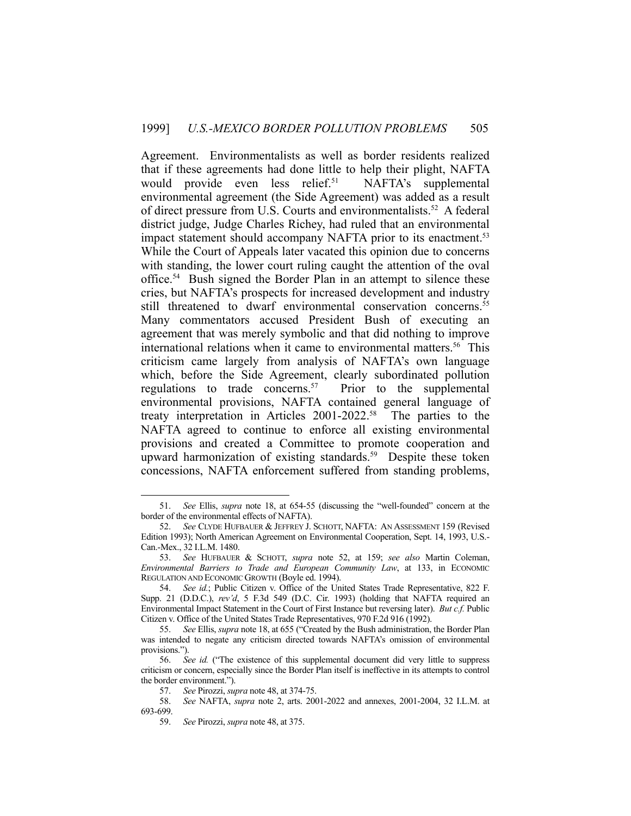Agreement. Environmentalists as well as border residents realized that if these agreements had done little to help their plight, NAFTA would provide even less relief.<sup>51</sup> NAFTA's supplemental environmental agreement (the Side Agreement) was added as a result of direct pressure from U.S. Courts and environmentalists.<sup>52</sup> A federal district judge, Judge Charles Richey, had ruled that an environmental impact statement should accompany NAFTA prior to its enactment.<sup>53</sup> While the Court of Appeals later vacated this opinion due to concerns with standing, the lower court ruling caught the attention of the oval office.54 Bush signed the Border Plan in an attempt to silence these cries, but NAFTA's prospects for increased development and industry still threatened to dwarf environmental conservation concerns.<sup>55</sup> Many commentators accused President Bush of executing an agreement that was merely symbolic and that did nothing to improve international relations when it came to environmental matters.<sup>56</sup> This criticism came largely from analysis of NAFTA's own language which, before the Side Agreement, clearly subordinated pollution regulations to trade concerns.<sup>57</sup> Prior to the supplemental environmental provisions, NAFTA contained general language of treaty interpretation in Articles 2001-2022.58 The parties to the NAFTA agreed to continue to enforce all existing environmental provisions and created a Committee to promote cooperation and upward harmonization of existing standards.<sup>59</sup> Despite these token concessions, NAFTA enforcement suffered from standing problems,

 <sup>51.</sup> *See* Ellis, *supra* note 18, at 654-55 (discussing the "well-founded" concern at the border of the environmental effects of NAFTA).

 <sup>52.</sup> *See* CLYDE HUFBAUER & JEFFREY J. SCHOTT, NAFTA: AN ASSESSMENT 159 (Revised Edition 1993); North American Agreement on Environmental Cooperation, Sept. 14, 1993, U.S.- Can.-Mex., 32 I.L.M. 1480.

 <sup>53.</sup> *See* HUFBAUER & SCHOTT, *supra* note 52, at 159; *see also* Martin Coleman, *Environmental Barriers to Trade and European Community Law*, at 133, in ECONOMIC REGULATION AND ECONOMIC GROWTH (Boyle ed. 1994).

 <sup>54.</sup> *See id.*; Public Citizen v. Office of the United States Trade Representative, 822 F. Supp. 21 (D.D.C.), *rev'd*, 5 F.3d 549 (D.C. Cir. 1993) (holding that NAFTA required an Environmental Impact Statement in the Court of First Instance but reversing later). *But c.f.* Public Citizen v. Office of the United States Trade Representatives, 970 F.2d 916 (1992).

 <sup>55.</sup> *See* Ellis, *supra* note 18, at 655 ("Created by the Bush administration, the Border Plan was intended to negate any criticism directed towards NAFTA's omission of environmental provisions.").

 <sup>56.</sup> *See id.* ("The existence of this supplemental document did very little to suppress criticism or concern, especially since the Border Plan itself is ineffective in its attempts to control the border environment.").

 <sup>57.</sup> *See* Pirozzi, *supra* note 48, at 374-75.

 <sup>58.</sup> *See* NAFTA, *supra* note 2, arts. 2001-2022 and annexes, 2001-2004, 32 I.L.M. at 693-699.

 <sup>59.</sup> *See* Pirozzi, *supra* note 48, at 375.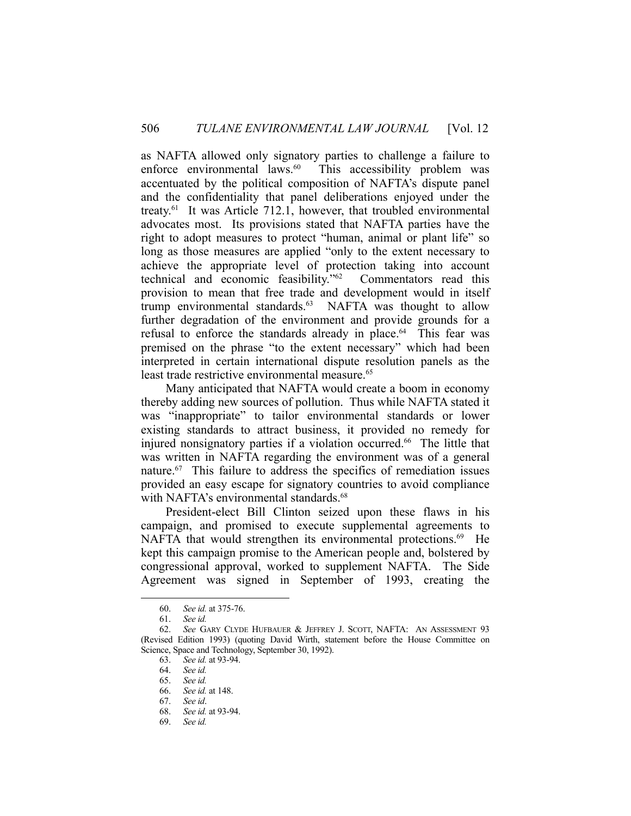as NAFTA allowed only signatory parties to challenge a failure to enforce environmental laws.<sup>60</sup> This accessibility problem was accentuated by the political composition of NAFTA's dispute panel and the confidentiality that panel deliberations enjoyed under the treaty.<sup>61</sup> It was Article 712.1, however, that troubled environmental advocates most. Its provisions stated that NAFTA parties have the right to adopt measures to protect "human, animal or plant life" so long as those measures are applied "only to the extent necessary to achieve the appropriate level of protection taking into account technical and economic feasibility."62 Commentators read this provision to mean that free trade and development would in itself trump environmental standards.<sup>63</sup> NAFTA was thought to allow further degradation of the environment and provide grounds for a refusal to enforce the standards already in place.<sup>64</sup> This fear was premised on the phrase "to the extent necessary" which had been interpreted in certain international dispute resolution panels as the least trade restrictive environmental measure.<sup>65</sup>

 Many anticipated that NAFTA would create a boom in economy thereby adding new sources of pollution. Thus while NAFTA stated it was "inappropriate" to tailor environmental standards or lower existing standards to attract business, it provided no remedy for injured nonsignatory parties if a violation occurred.<sup>66</sup> The little that was written in NAFTA regarding the environment was of a general nature.67 This failure to address the specifics of remediation issues provided an easy escape for signatory countries to avoid compliance with NAFTA's environmental standards.<sup>68</sup>

 President-elect Bill Clinton seized upon these flaws in his campaign, and promised to execute supplemental agreements to NAFTA that would strengthen its environmental protections.<sup>69</sup> He kept this campaign promise to the American people and, bolstered by congressional approval, worked to supplement NAFTA. The Side Agreement was signed in September of 1993, creating the

 <sup>60.</sup> *See id.* at 375-76.

 <sup>61.</sup> *See id.*

 <sup>62.</sup> *See* GARY CLYDE HUFBAUER & JEFFREY J. SCOTT, NAFTA: AN ASSESSMENT 93 (Revised Edition 1993) (quoting David Wirth, statement before the House Committee on Science, Space and Technology, September 30, 1992).

 <sup>63.</sup> *See id.* at 93-94.

 <sup>64.</sup> *See id.*

 <sup>65.</sup> *See id.*

 <sup>66.</sup> *See id.* at 148.

 <sup>67.</sup> *See id*.

 <sup>68.</sup> *See id.* at 93-94.

 <sup>69.</sup> *See id.*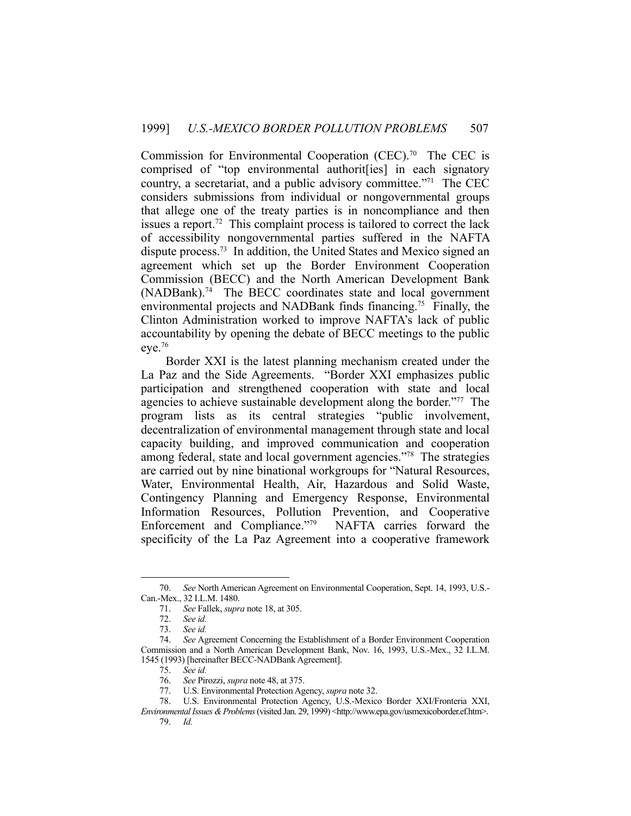Commission for Environmental Cooperation (CEC).<sup>70</sup> The CEC is comprised of "top environmental authorit[ies] in each signatory country, a secretariat, and a public advisory committee."71 The CEC considers submissions from individual or nongovernmental groups that allege one of the treaty parties is in noncompliance and then issues a report.<sup>72</sup> This complaint process is tailored to correct the lack of accessibility nongovernmental parties suffered in the NAFTA dispute process.73 In addition, the United States and Mexico signed an agreement which set up the Border Environment Cooperation Commission (BECC) and the North American Development Bank (NADBank).<sup>74</sup> The BECC coordinates state and local government environmental projects and NADBank finds financing.75 Finally, the Clinton Administration worked to improve NAFTA's lack of public accountability by opening the debate of BECC meetings to the public  $eye.<sup>76</sup>$ 

 Border XXI is the latest planning mechanism created under the La Paz and the Side Agreements. "Border XXI emphasizes public participation and strengthened cooperation with state and local agencies to achieve sustainable development along the border."77 The program lists as its central strategies "public involvement, decentralization of environmental management through state and local capacity building, and improved communication and cooperation among federal, state and local government agencies."78 The strategies are carried out by nine binational workgroups for "Natural Resources, Water, Environmental Health, Air, Hazardous and Solid Waste, Contingency Planning and Emergency Response, Environmental Information Resources, Pollution Prevention, and Cooperative Enforcement and Compliance."79 NAFTA carries forward the specificity of the La Paz Agreement into a cooperative framework

 <sup>70.</sup> *See* North American Agreement on Environmental Cooperation, Sept. 14, 1993, U.S.- Can.-Mex., 32 I.L.M. 1480.

 <sup>71.</sup> *See* Fallek, *supra* note 18, at 305.

 <sup>72.</sup> *See id.*

 <sup>73.</sup> *See id.*

 <sup>74.</sup> *See* Agreement Concerning the Establishment of a Border Environment Cooperation Commission and a North American Development Bank, Nov. 16, 1993, U.S.-Mex., 32 I.L.M. 1545 (1993) [hereinafter BECC-NADBank Agreement].

 <sup>75.</sup> *See id.*

 <sup>76.</sup> *See* Pirozzi, *supra* note 48, at 375.

 <sup>77.</sup> U.S. Environmental Protection Agency, *supra* note 32.

 <sup>78.</sup> U.S. Environmental Protection Agency, U.S.-Mexico Border XXI/Fronteria XXI,

*Environmental Issues & Problems* (visited Jan. 29, 1999) <http://www.epa.gov/usmexicoborder.ef.htm>. 79. *Id.*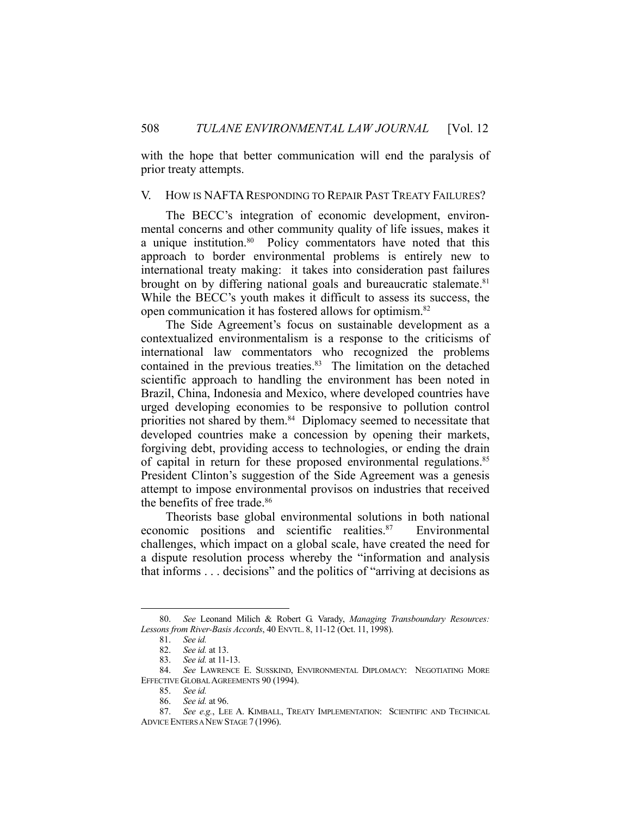with the hope that better communication will end the paralysis of prior treaty attempts.

#### V. HOW IS NAFTA RESPONDING TO REPAIR PAST TREATY FAILURES?

 The BECC's integration of economic development, environmental concerns and other community quality of life issues, makes it a unique institution.<sup>80</sup> Policy commentators have noted that this approach to border environmental problems is entirely new to international treaty making: it takes into consideration past failures brought on by differing national goals and bureaucratic stalemate. $81$ While the BECC's youth makes it difficult to assess its success, the open communication it has fostered allows for optimism.82

 The Side Agreement's focus on sustainable development as a contextualized environmentalism is a response to the criticisms of international law commentators who recognized the problems contained in the previous treaties. $83$  The limitation on the detached scientific approach to handling the environment has been noted in Brazil, China, Indonesia and Mexico, where developed countries have urged developing economies to be responsive to pollution control priorities not shared by them.<sup>84</sup> Diplomacy seemed to necessitate that developed countries make a concession by opening their markets, forgiving debt, providing access to technologies, or ending the drain of capital in return for these proposed environmental regulations.<sup>85</sup> President Clinton's suggestion of the Side Agreement was a genesis attempt to impose environmental provisos on industries that received the benefits of free trade.<sup>86</sup>

 Theorists base global environmental solutions in both national economic positions and scientific realities.<sup>87</sup> Environmental challenges, which impact on a global scale, have created the need for a dispute resolution process whereby the "information and analysis that informs . . . decisions" and the politics of "arriving at decisions as

 <sup>80.</sup> *See* Leonand Milich & Robert G. Varady, *Managing Transboundary Resources: Lessons from River-Basis Accords*, 40 ENVTL. 8, 11-12 (Oct. 11, 1998).

 <sup>81.</sup> *See id.*

 <sup>82.</sup> *See id.* at 13.

 <sup>83.</sup> *See id.* at 11-13.

 <sup>84.</sup> *See* LAWRENCE E. SUSSKIND, ENVIRONMENTAL DIPLOMACY: NEGOTIATING MORE EFFECTIVE GLOBAL AGREEMENTS 90 (1994).

 <sup>85.</sup> *See id.*

 <sup>86.</sup> *See id.* at 96.

 <sup>87.</sup> *See e.g.*, LEE A. KIMBALL, TREATY IMPLEMENTATION: SCIENTIFIC AND TECHNICAL ADVICE ENTERS A NEW STAGE 7 (1996).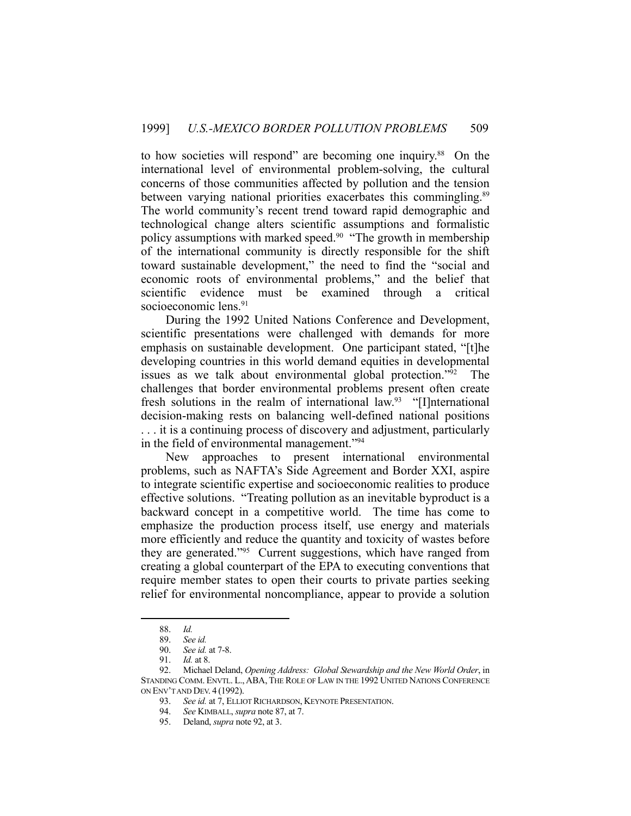to how societies will respond" are becoming one inquiry.88 On the international level of environmental problem-solving, the cultural concerns of those communities affected by pollution and the tension between varying national priorities exacerbates this commingling.<sup>89</sup> The world community's recent trend toward rapid demographic and technological change alters scientific assumptions and formalistic policy assumptions with marked speed.<sup>90</sup> "The growth in membership of the international community is directly responsible for the shift toward sustainable development," the need to find the "social and economic roots of environmental problems," and the belief that scientific evidence must be examined through a critical socioeconomic lens.<sup>91</sup>

 During the 1992 United Nations Conference and Development, scientific presentations were challenged with demands for more emphasis on sustainable development. One participant stated, "[t]he developing countries in this world demand equities in developmental issues as we talk about environmental global protection."92 The challenges that border environmental problems present often create fresh solutions in the realm of international law.<sup>93</sup> "[I]nternational decision-making rests on balancing well-defined national positions . . . it is a continuing process of discovery and adjustment, particularly in the field of environmental management."94

 New approaches to present international environmental problems, such as NAFTA's Side Agreement and Border XXI, aspire to integrate scientific expertise and socioeconomic realities to produce effective solutions. "Treating pollution as an inevitable byproduct is a backward concept in a competitive world. The time has come to emphasize the production process itself, use energy and materials more efficiently and reduce the quantity and toxicity of wastes before they are generated."95 Current suggestions, which have ranged from creating a global counterpart of the EPA to executing conventions that require member states to open their courts to private parties seeking relief for environmental noncompliance, appear to provide a solution

 <sup>88.</sup> *Id.*

 <sup>89.</sup> *See id.*

 <sup>90.</sup> *See id.* at 7-8.

 <sup>91.</sup> *Id.* at 8.

 <sup>92.</sup> Michael Deland, *Opening Address: Global Stewardship and the New World Order*, in STANDING COMM. ENVTL. L.,ABA, THE ROLE OF LAW IN THE 1992 UNITED NATIONS CONFERENCE ON ENV'T AND DEV. 4 (1992).

 <sup>93.</sup> *See id.* at 7, ELLIOT RICHARDSON, KEYNOTE PRESENTATION.

 <sup>94.</sup> *See* KIMBALL, *supra* note 87, at 7.

 <sup>95.</sup> Deland, *supra* note 92, at 3.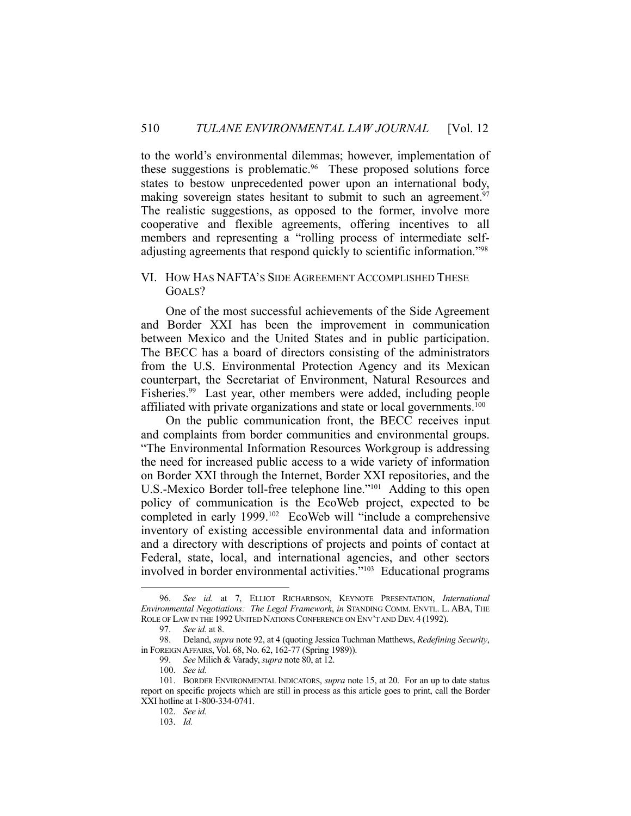to the world's environmental dilemmas; however, implementation of these suggestions is problematic.<sup>96</sup> These proposed solutions force states to bestow unprecedented power upon an international body, making sovereign states hesitant to submit to such an agreement.<sup>97</sup> The realistic suggestions, as opposed to the former, involve more cooperative and flexible agreements, offering incentives to all members and representing a "rolling process of intermediate selfadjusting agreements that respond quickly to scientific information."98

#### VI. HOW HAS NAFTA'S SIDE AGREEMENT ACCOMPLISHED THESE GOAL<sub>S</sub>?

 One of the most successful achievements of the Side Agreement and Border XXI has been the improvement in communication between Mexico and the United States and in public participation. The BECC has a board of directors consisting of the administrators from the U.S. Environmental Protection Agency and its Mexican counterpart, the Secretariat of Environment, Natural Resources and Fisheries.<sup>99</sup> Last year, other members were added, including people affiliated with private organizations and state or local governments.<sup>100</sup>

 On the public communication front, the BECC receives input and complaints from border communities and environmental groups. "The Environmental Information Resources Workgroup is addressing the need for increased public access to a wide variety of information on Border XXI through the Internet, Border XXI repositories, and the U.S.-Mexico Border toll-free telephone line."101 Adding to this open policy of communication is the EcoWeb project, expected to be completed in early 1999.102 EcoWeb will "include a comprehensive inventory of existing accessible environmental data and information and a directory with descriptions of projects and points of contact at Federal, state, local, and international agencies, and other sectors involved in border environmental activities."103 Educational programs

 <sup>96.</sup> *See id.* at 7, ELLIOT RICHARDSON, KEYNOTE PRESENTATION, *International Environmental Negotiations: The Legal Framework*, *in* STANDING COMM. ENVTL. L. ABA, THE ROLE OF LAW IN THE 1992 UNITED NATIONS CONFERENCE ON ENV'T AND DEV. 4 (1992).

 <sup>97.</sup> *See id.* at 8.

 <sup>98.</sup> Deland, *supra* note 92, at 4 (quoting Jessica Tuchman Matthews, *Redefining Security*, in FOREIGN AFFAIRS, Vol. 68, No. 62, 162-77 (Spring 1989)).

 <sup>99.</sup> *See* Milich & Varady, *supra* note 80, at 12.

 <sup>100.</sup> *See id.*

 <sup>101.</sup> BORDER ENVIRONMENTAL INDICATORS, *supra* note 15, at 20. For an up to date status report on specific projects which are still in process as this article goes to print, call the Border XXI hotline at 1-800-334-0741.

 <sup>102.</sup> *See id.*

 <sup>103.</sup> *Id.*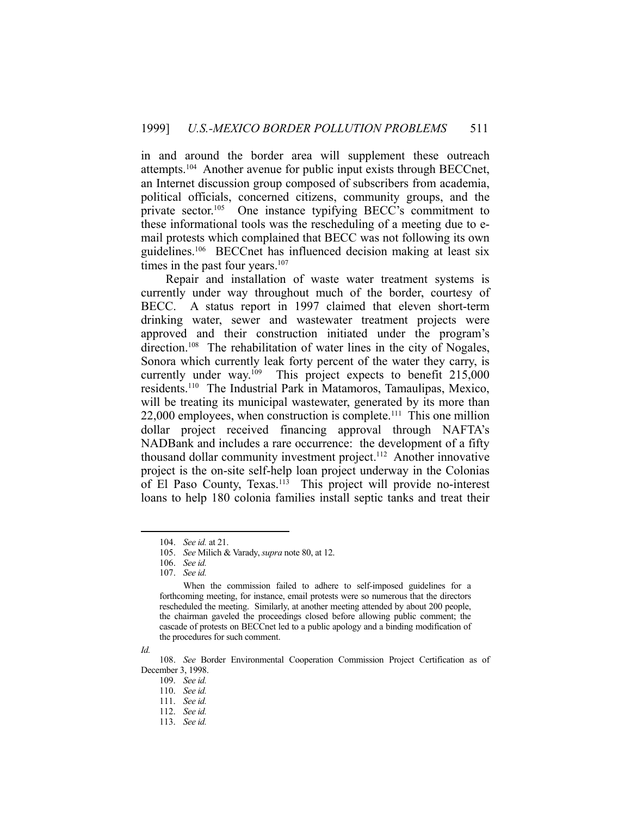in and around the border area will supplement these outreach attempts.104 Another avenue for public input exists through BECCnet, an Internet discussion group composed of subscribers from academia, political officials, concerned citizens, community groups, and the private sector.<sup>105</sup> One instance typifying BECC's commitment to these informational tools was the rescheduling of a meeting due to email protests which complained that BECC was not following its own guidelines.106 BECCnet has influenced decision making at least six times in the past four years.<sup>107</sup>

 Repair and installation of waste water treatment systems is currently under way throughout much of the border, courtesy of BECC. A status report in 1997 claimed that eleven short-term drinking water, sewer and wastewater treatment projects were approved and their construction initiated under the program's direction.<sup>108</sup> The rehabilitation of water lines in the city of Nogales, Sonora which currently leak forty percent of the water they carry, is currently under way.<sup>109</sup> This project expects to benefit 215,000 residents.110 The Industrial Park in Matamoros, Tamaulipas, Mexico, will be treating its municipal wastewater, generated by its more than  $22,000$  employees, when construction is complete.<sup>111</sup> This one million dollar project received financing approval through NAFTA's NADBank and includes a rare occurrence: the development of a fifty thousand dollar community investment project.112 Another innovative project is the on-site self-help loan project underway in the Colonias of El Paso County, Texas.<sup>113</sup> This project will provide no-interest loans to help 180 colonia families install septic tanks and treat their

*Id.*

 <sup>104.</sup> *See id.* at 21.

 <sup>105.</sup> *See* Milich & Varady, *supra* note 80, at 12.

 <sup>106.</sup> *See id.*

 <sup>107.</sup> *See id.*

When the commission failed to adhere to self-imposed guidelines for a forthcoming meeting, for instance, email protests were so numerous that the directors rescheduled the meeting. Similarly, at another meeting attended by about 200 people, the chairman gaveled the proceedings closed before allowing public comment; the cascade of protests on BECCnet led to a public apology and a binding modification of the procedures for such comment.

 <sup>108.</sup> *See* Border Environmental Cooperation Commission Project Certification as of December 3, 1998.

 <sup>109.</sup> *See id.*

 <sup>110.</sup> *See id.*

 <sup>111.</sup> *See id.*

 <sup>112.</sup> *See id.*

 <sup>113.</sup> *See id.*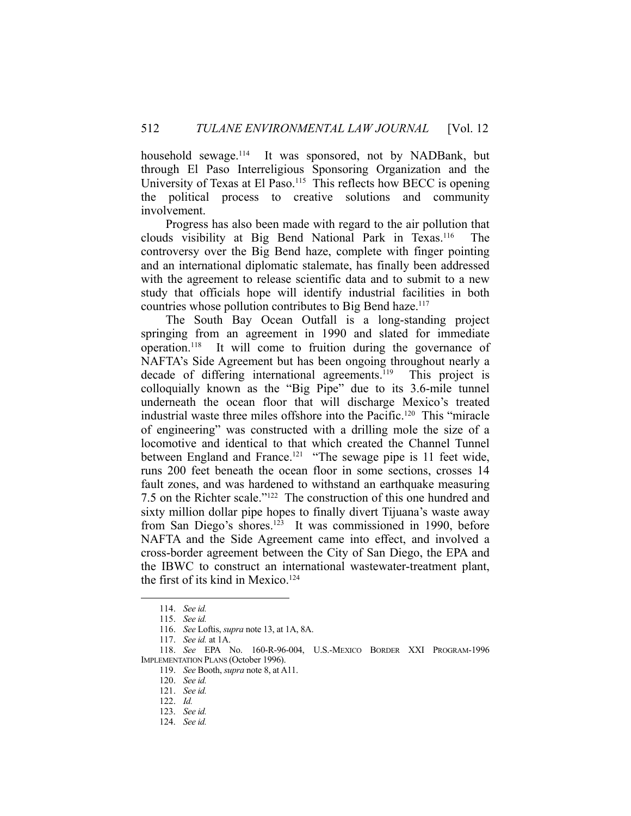household sewage.<sup>114</sup> It was sponsored, not by NADBank, but through El Paso Interreligious Sponsoring Organization and the University of Texas at El Paso.<sup>115</sup> This reflects how BECC is opening the political process to creative solutions and community involvement.

 Progress has also been made with regard to the air pollution that clouds visibility at Big Bend National Park in Texas.116 The controversy over the Big Bend haze, complete with finger pointing and an international diplomatic stalemate, has finally been addressed with the agreement to release scientific data and to submit to a new study that officials hope will identify industrial facilities in both countries whose pollution contributes to Big Bend haze.117

 The South Bay Ocean Outfall is a long-standing project springing from an agreement in 1990 and slated for immediate operation.118 It will come to fruition during the governance of NAFTA's Side Agreement but has been ongoing throughout nearly a decade of differing international agreements.<sup>119</sup> This project is colloquially known as the "Big Pipe" due to its 3.6-mile tunnel underneath the ocean floor that will discharge Mexico's treated industrial waste three miles offshore into the Pacific.120 This "miracle of engineering" was constructed with a drilling mole the size of a locomotive and identical to that which created the Channel Tunnel between England and France.<sup>121</sup> "The sewage pipe is 11 feet wide, runs 200 feet beneath the ocean floor in some sections, crosses 14 fault zones, and was hardened to withstand an earthquake measuring 7.5 on the Richter scale."122 The construction of this one hundred and sixty million dollar pipe hopes to finally divert Tijuana's waste away from San Diego's shores.<sup>123</sup> It was commissioned in 1990, before NAFTA and the Side Agreement came into effect, and involved a cross-border agreement between the City of San Diego, the EPA and the IBWC to construct an international wastewater-treatment plant, the first of its kind in Mexico.<sup>124</sup>

 <sup>114.</sup> *See id.*

 <sup>115.</sup> *See id.*

 <sup>116.</sup> *See* Loftis, *supra* note 13, at 1A, 8A.

 <sup>117.</sup> *See id.* at 1A.

 <sup>118.</sup> *See* EPA No. 160-R-96-004, U.S.-MEXICO BORDER XXI PROGRAM-1996 IMPLEMENTATION PLANS (October 1996).

 <sup>119.</sup> *See* Booth, *supra* note 8, at A11.

 <sup>120.</sup> *See id.*

 <sup>121.</sup> *See id.*

 <sup>122.</sup> *Id.*

 <sup>123.</sup> *See id.*

 <sup>124.</sup> *See id.*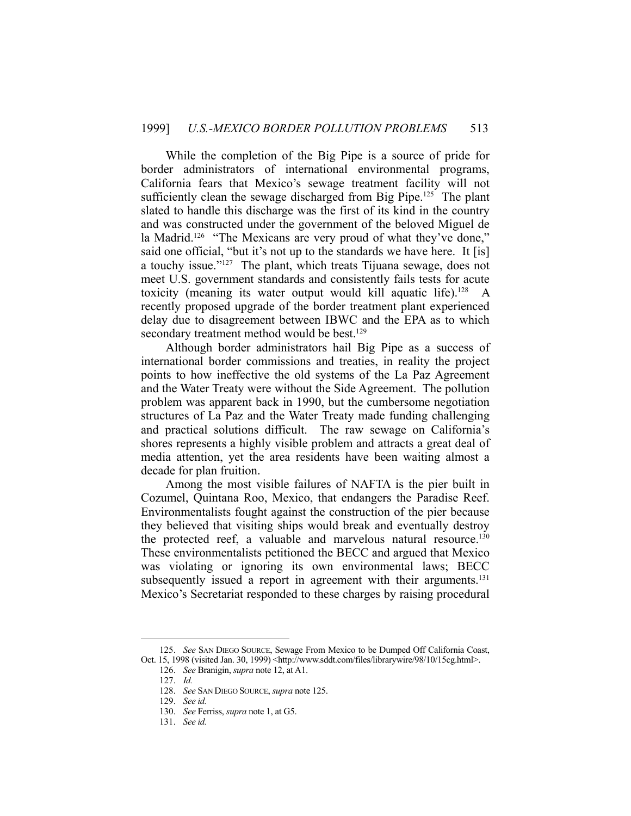While the completion of the Big Pipe is a source of pride for border administrators of international environmental programs, California fears that Mexico's sewage treatment facility will not sufficiently clean the sewage discharged from Big Pipe.<sup>125</sup> The plant slated to handle this discharge was the first of its kind in the country and was constructed under the government of the beloved Miguel de la Madrid.<sup>126</sup> "The Mexicans are very proud of what they've done," said one official, "but it's not up to the standards we have here. It [is] a touchy issue."127 The plant, which treats Tijuana sewage, does not meet U.S. government standards and consistently fails tests for acute toxicity (meaning its water output would kill aquatic life).<sup>128</sup> A recently proposed upgrade of the border treatment plant experienced delay due to disagreement between IBWC and the EPA as to which secondary treatment method would be best.<sup>129</sup>

 Although border administrators hail Big Pipe as a success of international border commissions and treaties, in reality the project points to how ineffective the old systems of the La Paz Agreement and the Water Treaty were without the Side Agreement. The pollution problem was apparent back in 1990, but the cumbersome negotiation structures of La Paz and the Water Treaty made funding challenging and practical solutions difficult. The raw sewage on California's shores represents a highly visible problem and attracts a great deal of media attention, yet the area residents have been waiting almost a decade for plan fruition.

 Among the most visible failures of NAFTA is the pier built in Cozumel, Quintana Roo, Mexico, that endangers the Paradise Reef. Environmentalists fought against the construction of the pier because they believed that visiting ships would break and eventually destroy the protected reef, a valuable and marvelous natural resource.<sup>130</sup> These environmentalists petitioned the BECC and argued that Mexico was violating or ignoring its own environmental laws; BECC subsequently issued a report in agreement with their arguments.<sup>131</sup> Mexico's Secretariat responded to these charges by raising procedural

 <sup>125.</sup> *See* SAN DIEGO SOURCE, Sewage From Mexico to be Dumped Off California Coast, Oct. 15, 1998 (visited Jan. 30, 1999) <http://www.sddt.com/files/librarywire/98/10/15cg.html>.

 <sup>126.</sup> *See* Branigin, *supra* note 12, at A1.

 <sup>127.</sup> *Id.*

 <sup>128.</sup> *See* SAN DIEGO SOURCE, *supra* note 125.

 <sup>129.</sup> *See id.*

 <sup>130.</sup> *See* Ferriss, *supra* note 1, at G5.

 <sup>131.</sup> *See id.*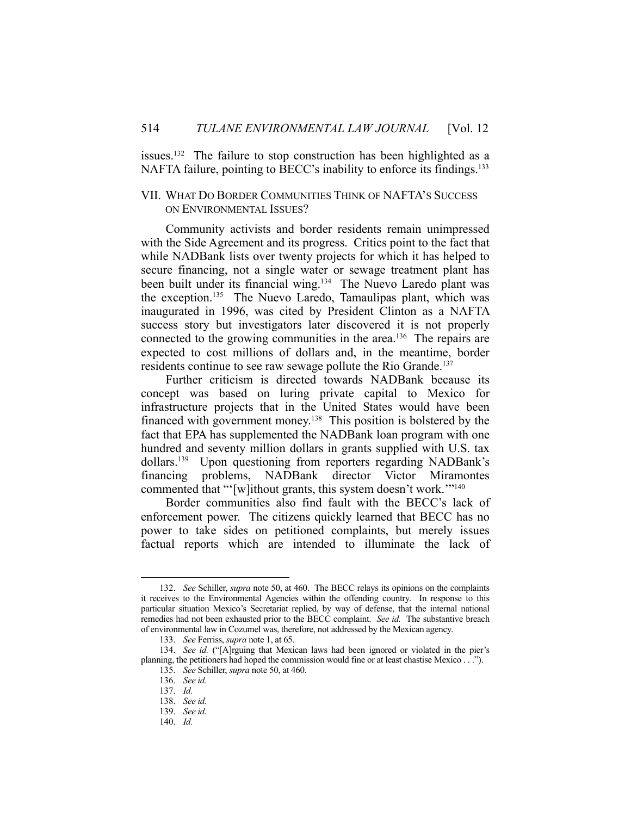issues.<sup>132</sup> The failure to stop construction has been highlighted as a NAFTA failure, pointing to BECC's inability to enforce its findings.<sup>133</sup>

## VII. WHAT DO BORDER COMMUNITIES THINK OF NAFTA'S SUCCESS ON ENVIRONMENTAL ISSUES?

 Community activists and border residents remain unimpressed with the Side Agreement and its progress. Critics point to the fact that while NADBank lists over twenty projects for which it has helped to secure financing, not a single water or sewage treatment plant has been built under its financial wing.<sup>134</sup> The Nuevo Laredo plant was the exception.<sup>135</sup> The Nuevo Laredo, Tamaulipas plant, which was inaugurated in 1996, was cited by President Clinton as a NAFTA success story but investigators later discovered it is not properly connected to the growing communities in the area.<sup>136</sup> The repairs are expected to cost millions of dollars and, in the meantime, border residents continue to see raw sewage pollute the Rio Grande.<sup>137</sup>

 Further criticism is directed towards NADBank because its concept was based on luring private capital to Mexico for infrastructure projects that in the United States would have been financed with government money.138 This position is bolstered by the fact that EPA has supplemented the NADBank loan program with one hundred and seventy million dollars in grants supplied with U.S. tax dollars.139 Upon questioning from reporters regarding NADBank's financing problems, NADBank director Victor Miramontes commented that "'[w]ithout grants, this system doesn't work.'"140

 Border communities also find fault with the BECC's lack of enforcement power. The citizens quickly learned that BECC has no power to take sides on petitioned complaints, but merely issues factual reports which are intended to illuminate the lack of

 <sup>132.</sup> *See* Schiller, *supra* note 50, at 460. The BECC relays its opinions on the complaints it receives to the Environmental Agencies within the offending country. In response to this particular situation Mexico's Secretariat replied, by way of defense, that the internal national remedies had not been exhausted prior to the BECC complaint. *See id.* The substantive breach of environmental law in Cozumel was, therefore, not addressed by the Mexican agency.

 <sup>133.</sup> *See* Ferriss, *supra* note 1, at 65.

<sup>134.</sup> *See id.* ("[A]rguing that Mexican laws had been ignored or violated in the pier's planning, the petitioners had hoped the commission would fine or at least chastise Mexico . . .").

 <sup>135.</sup> *See* Schiller, *supra* note 50, at 460.

 <sup>136.</sup> *See id.*

 <sup>137.</sup> *Id.*

 <sup>138.</sup> *See id.*

 <sup>139.</sup> *See id.*

 <sup>140.</sup> *Id.*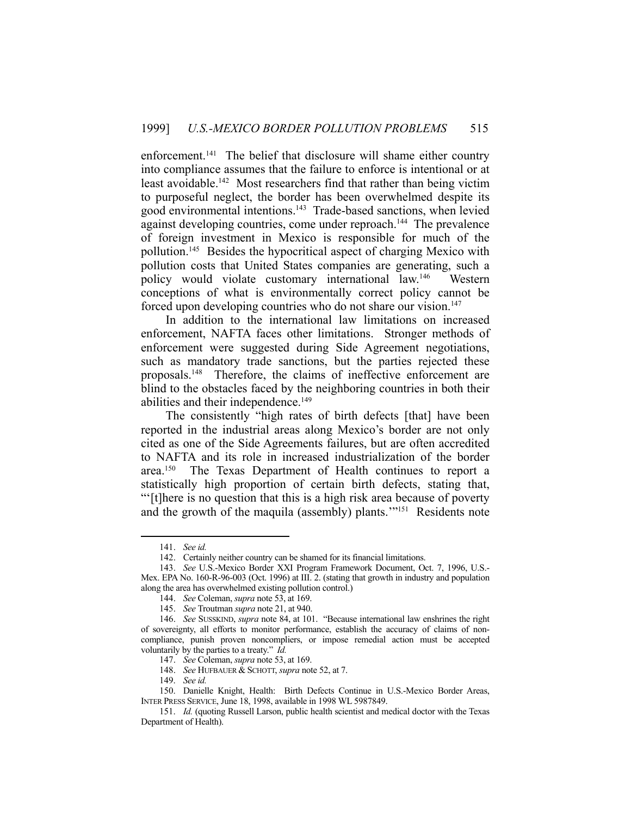enforcement.<sup>141</sup> The belief that disclosure will shame either country into compliance assumes that the failure to enforce is intentional or at least avoidable.142 Most researchers find that rather than being victim to purposeful neglect, the border has been overwhelmed despite its good environmental intentions.143 Trade-based sanctions, when levied against developing countries, come under reproach.<sup>144</sup> The prevalence of foreign investment in Mexico is responsible for much of the pollution.145 Besides the hypocritical aspect of charging Mexico with pollution costs that United States companies are generating, such a policy would violate customary international law.146 Western conceptions of what is environmentally correct policy cannot be forced upon developing countries who do not share our vision.<sup>147</sup>

 In addition to the international law limitations on increased enforcement, NAFTA faces other limitations. Stronger methods of enforcement were suggested during Side Agreement negotiations, such as mandatory trade sanctions, but the parties rejected these proposals.148 Therefore, the claims of ineffective enforcement are blind to the obstacles faced by the neighboring countries in both their abilities and their independence.<sup>149</sup>

 The consistently "high rates of birth defects [that] have been reported in the industrial areas along Mexico's border are not only cited as one of the Side Agreements failures, but are often accredited to NAFTA and its role in increased industrialization of the border area.<sup>150</sup> The Texas Department of Health continues to report a statistically high proportion of certain birth defects, stating that, "'[t]here is no question that this is a high risk area because of poverty and the growth of the maquila (assembly) plants.'"151 Residents note

<u>.</u>

148. *See* HUFBAUER & SCHOTT, *supra* note 52, at 7.

 <sup>141.</sup> *See id.*

 <sup>142.</sup> Certainly neither country can be shamed for its financial limitations.

 <sup>143.</sup> *See* U.S.-Mexico Border XXI Program Framework Document, Oct. 7, 1996, U.S.- Mex. EPA No. 160-R-96-003 (Oct. 1996) at III. 2. (stating that growth in industry and population along the area has overwhelmed existing pollution control.)

 <sup>144.</sup> *See* Coleman, *supra* note 53, at 169.

 <sup>145.</sup> *See* Troutman *supra* note 21, at 940.

 <sup>146.</sup> *See* SUSSKIND, *supra* note 84, at 101. "Because international law enshrines the right of sovereignty, all efforts to monitor performance, establish the accuracy of claims of noncompliance, punish proven noncompliers, or impose remedial action must be accepted voluntarily by the parties to a treaty." *Id.*

 <sup>147.</sup> *See* Coleman, *supra* note 53, at 169.

 <sup>149.</sup> *See id.*

 <sup>150.</sup> Danielle Knight, Health: Birth Defects Continue in U.S.-Mexico Border Areas, INTER PRESS SERVICE, June 18, 1998, available in 1998 WL 5987849.

 <sup>151.</sup> *Id.* (quoting Russell Larson, public health scientist and medical doctor with the Texas Department of Health).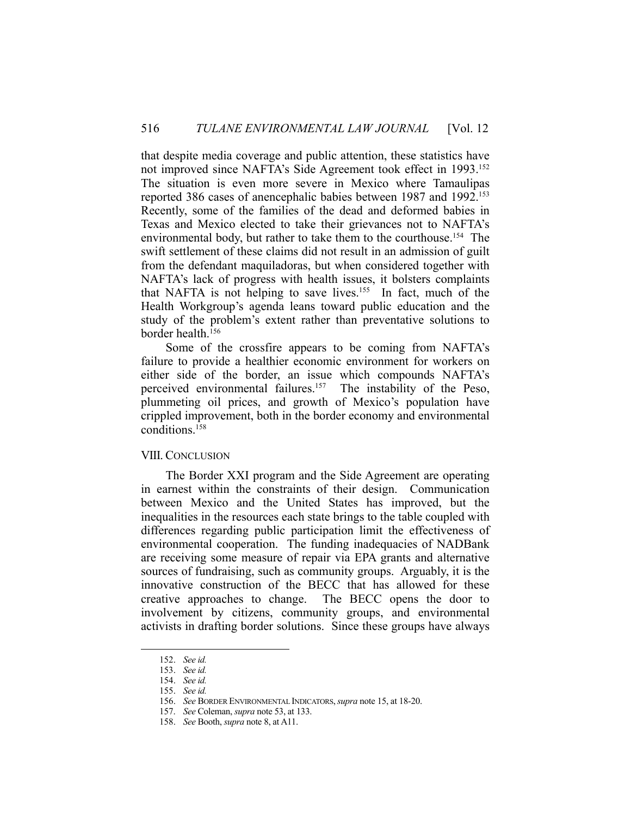that despite media coverage and public attention, these statistics have not improved since NAFTA's Side Agreement took effect in 1993.152 The situation is even more severe in Mexico where Tamaulipas reported 386 cases of anencephalic babies between 1987 and 1992. 153 Recently, some of the families of the dead and deformed babies in Texas and Mexico elected to take their grievances not to NAFTA's environmental body, but rather to take them to the courthouse.<sup>154</sup> The swift settlement of these claims did not result in an admission of guilt from the defendant maquiladoras, but when considered together with NAFTA's lack of progress with health issues, it bolsters complaints that NAFTA is not helping to save lives.<sup>155</sup> In fact, much of the Health Workgroup's agenda leans toward public education and the study of the problem's extent rather than preventative solutions to border health.156

 Some of the crossfire appears to be coming from NAFTA's failure to provide a healthier economic environment for workers on either side of the border, an issue which compounds NAFTA's perceived environmental failures.157 The instability of the Peso, plummeting oil prices, and growth of Mexico's population have crippled improvement, both in the border economy and environmental conditions.158

#### VIII. CONCLUSION

 The Border XXI program and the Side Agreement are operating in earnest within the constraints of their design. Communication between Mexico and the United States has improved, but the inequalities in the resources each state brings to the table coupled with differences regarding public participation limit the effectiveness of environmental cooperation. The funding inadequacies of NADBank are receiving some measure of repair via EPA grants and alternative sources of fundraising, such as community groups. Arguably, it is the innovative construction of the BECC that has allowed for these creative approaches to change. The BECC opens the door to involvement by citizens, community groups, and environmental activists in drafting border solutions. Since these groups have always

 <sup>152.</sup> *See id.*

 <sup>153.</sup> *See id.*

 <sup>154.</sup> *See id.*

 <sup>155.</sup> *See id.*

 <sup>156.</sup> *See* BORDER ENVIRONMENTAL INDICATORS,*supra* note 15, at 18-20.

 <sup>157.</sup> *See* Coleman, *supra* note 53, at 133.

 <sup>158.</sup> *See* Booth, *supra* note 8, at A11.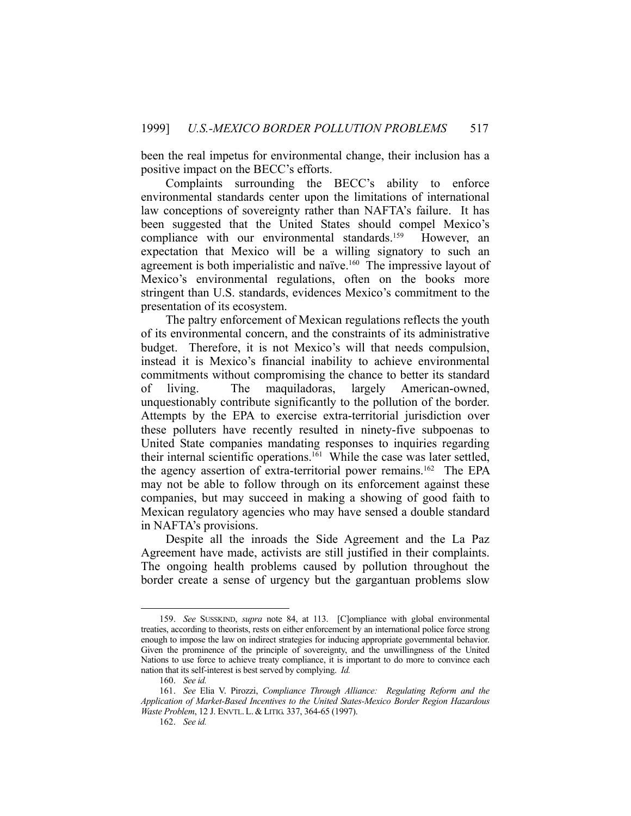been the real impetus for environmental change, their inclusion has a positive impact on the BECC's efforts.

 Complaints surrounding the BECC's ability to enforce environmental standards center upon the limitations of international law conceptions of sovereignty rather than NAFTA's failure. It has been suggested that the United States should compel Mexico's compliance with our environmental standards.<sup>159</sup> However, an expectation that Mexico will be a willing signatory to such an agreement is both imperialistic and naïve.<sup>160</sup> The impressive layout of Mexico's environmental regulations, often on the books more stringent than U.S. standards, evidences Mexico's commitment to the presentation of its ecosystem.

 The paltry enforcement of Mexican regulations reflects the youth of its environmental concern, and the constraints of its administrative budget. Therefore, it is not Mexico's will that needs compulsion, instead it is Mexico's financial inability to achieve environmental commitments without compromising the chance to better its standard of living. The maquiladoras, largely American-owned, unquestionably contribute significantly to the pollution of the border. Attempts by the EPA to exercise extra-territorial jurisdiction over these polluters have recently resulted in ninety-five subpoenas to United State companies mandating responses to inquiries regarding their internal scientific operations.<sup>161</sup> While the case was later settled, the agency assertion of extra-territorial power remains.<sup>162</sup> The EPA may not be able to follow through on its enforcement against these companies, but may succeed in making a showing of good faith to Mexican regulatory agencies who may have sensed a double standard in NAFTA's provisions.

 Despite all the inroads the Side Agreement and the La Paz Agreement have made, activists are still justified in their complaints. The ongoing health problems caused by pollution throughout the border create a sense of urgency but the gargantuan problems slow

 <sup>159.</sup> *See* SUSSKIND, *supra* note 84, at 113. [C]ompliance with global environmental treaties, according to theorists, rests on either enforcement by an international police force strong enough to impose the law on indirect strategies for inducing appropriate governmental behavior. Given the prominence of the principle of sovereignty, and the unwillingness of the United Nations to use force to achieve treaty compliance, it is important to do more to convince each nation that its self-interest is best served by complying. *Id.*

 <sup>160.</sup> *See id.*

 <sup>161.</sup> *See* Elia V. Pirozzi, *Compliance Through Alliance: Regulating Reform and the Application of Market-Based Incentives to the United States-Mexico Border Region Hazardous Waste Problem*, 12 J. ENVTL. L. & LITIG. 337, 364-65 (1997).

 <sup>162.</sup> *See id.*